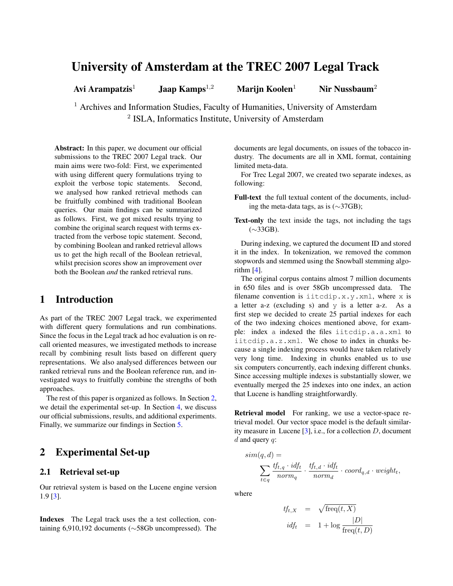# University of Amsterdam at the TREC 2007 Legal Track

Avi Arampatzis<sup>1</sup> Jaap Kamps<sup>1,2</sup> Marijn Koolen<sup>1</sup> Nir Nussbaum<sup>2</sup>

<sup>1</sup> Archives and Information Studies, Faculty of Humanities, University of Amsterdam <sup>2</sup> ISLA, Informatics Institute, University of Amsterdam

Abstract: In this paper, we document our official submissions to the TREC 2007 Legal track. Our main aims were two-fold: First, we experimented with using different query formulations trying to exploit the verbose topic statements. Second, we analysed how ranked retrieval methods can be fruitfully combined with traditional Boolean queries. Our main findings can be summarized as follows. First, we got mixed results trying to combine the original search request with terms extracted from the verbose topic statement. Second, by combining Boolean and ranked retrieval allows us to get the high recall of the Boolean retrieval, whilst precision scores show an improvement over both the Boolean *and* the ranked retrieval runs.

## 1 Introduction

As part of the TREC 2007 Legal track, we experimented with different query formulations and run combinations. Since the focus in the Legal track ad hoc evaluation is on recall oriented measures, we investigated methods to increase recall by combining result lists based on different query representations. We also analysed differences between our ranked retrieval runs and the Boolean reference run, and investigated ways to fruitfully combine the strengths of both approaches.

The rest of this paper is organized as follows. In Section [2,](#page-0-0) we detail the experimental set-up. In Section [4,](#page-1-0) we discuss our official submissions, results, and additional experiments. Finally, we summarize our findings in Section [5.](#page-2-0)

## <span id="page-0-0"></span>2 Experimental Set-up

#### 2.1 Retrieval set-up

Our retrieval system is based on the Lucene engine version 1.9 [\[3\]](#page-2-1).

Indexes The Legal track uses the a test collection, containing 6,910,192 documents (∼58Gb uncompressed). The documents are legal documents, on issues of the tobacco industry. The documents are all in XML format, containing limited meta-data.

For Trec Legal 2007, we created two separate indexes, as following:

Full-text the full textual content of the documents, including the meta-data tags, as is (∼37GB);

Text-only the text inside the tags, not including the tags (∼33GB).

During indexing, we captured the document ID and stored it in the index. In tokenization, we removed the common stopwords and stemmed using the Snowball stemming algorithm [\[4\]](#page-2-2).

The original corpus contains almost 7 million documents in 650 files and is over 58Gb uncompressed data. The filename convention is iitcdip.x.y.xml, where x is a letter a-z (excluding s) and y is a letter a-z. As a first step we decided to create 25 partial indexes for each of the two indexing choices mentioned above, for example: index a indexed the files iitcdip.a.a.xml to iitcdip.a.z.xml. We chose to index in chunks because a single indexing process would have taken relatively very long time. Indexing in chunks enabled us to use six computers concurrently, each indexing different chunks. Since accessing multiple indexes is substantially slower, we eventually merged the 25 indexes into one index, an action that Lucene is handling straightforwardly.

Retrieval model For ranking, we use a vector-space retrieval model. Our vector space model is the default similarity measure in Lucene  $[3]$ , i.e., for a collection  $D$ , document  $d$  and query  $q$ :

$$
sim(q, d) = \sum_{t \in q} \frac{tf_{t,q} \cdot id_{t}}{norm_{q}} \cdot \frac{tf_{t,d} \cdot id_{t}}{norm_{d}} \cdot coord_{q,d} \cdot weight_{t},
$$

where

$$
tf_{t,X} = \sqrt{\text{freq}(t, X)}
$$
  

$$
idf_t = 1 + \log \frac{|D|}{\text{freq}(t, D)}
$$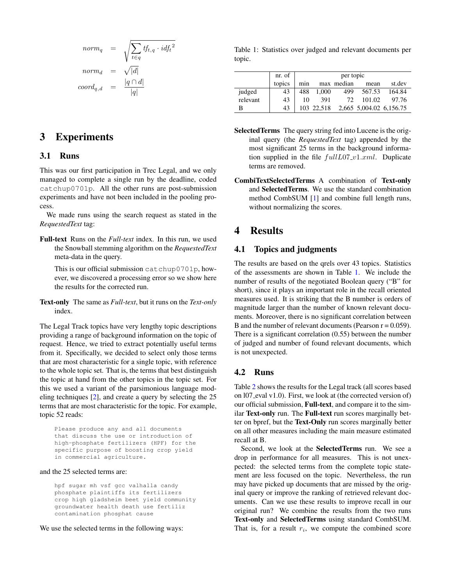$$
norm_q = \sqrt{\sum_{t \in q} t f_{t,q} \cdot idf_t^2}
$$

$$
norm_d = \sqrt{|d|}
$$

$$
coord_{q,d} = \frac{|q \cap d|}{|q|}
$$

### 3 Experiments

#### 3.1 Runs

This was our first participation in Trec Legal, and we only managed to complete a single run by the deadline, coded catchup0701p. All the other runs are post-submission experiments and have not been included in the pooling process.

We made runs using the search request as stated in the *RequestedText* tag:

Full-text Runs on the *Full-text* index. In this run, we used the Snowball stemming algorithm on the *RequestedText* meta-data in the query.

This is our official submission catchup0701p, however, we discovered a processing error so we show here the results for the corrected run.

Text-only The same as *Full-text*, but it runs on the *Text-only* index.

The Legal Track topics have very lengthy topic descriptions providing a range of background information on the topic of request. Hence, we tried to extract potentially useful terms from it. Specifically, we decided to select only those terms that are most characteristic for a single topic, with reference to the whole topic set. That is, the terms that best distinguish the topic at hand from the other topics in the topic set. For this we used a variant of the parsimonious language modeling techniques [\[2\]](#page-2-3), and create a query by selecting the 25 terms that are most characteristic for the topic. For example, topic 52 reads:

Please produce any and all documents that discuss the use or introduction of high-phosphate fertilizers (HPF) for the specific purpose of boosting crop yield in commercial agriculture.

#### and the 25 selected terms are:

hpf sugar mh vsf gcc valhalla candy phosphate plaintiffs its fertilizers crop high gladsheim beet yield community groundwater health death use fertiliz contamination phosphat cause

We use the selected terms in the following ways:

<span id="page-1-1"></span>Table 1: Statistics over judged and relevant documents per topic.

|          | nr. of | per topic |            |            |                         |        |  |  |  |
|----------|--------|-----------|------------|------------|-------------------------|--------|--|--|--|
|          | topics | min       |            | max median | mean                    | st.dev |  |  |  |
| judged   | 43     | 488       | 1,000      | 499        | 567.53                  | 164.84 |  |  |  |
| relevant | 43     | 10        | 391        | 72.        | 101.02                  | 97.76  |  |  |  |
| В        | 43     |           | 103 22.518 |            | 2,665 5,004.02 6,156.75 |        |  |  |  |

- SelectedTerms The query string fed into Lucene is the original query (the *RequestedText* tag) appended by the most significant 25 terms in the background information supplied in the file  $fullL07_v1.xml$ . Duplicate terms are removed.
- CombiTextSelectedTerms A combination of Text-only and SelectedTerms. We use the standard combination method CombSUM [\[1\]](#page-2-4) and combine full length runs, without normalizing the scores.

# <span id="page-1-0"></span>4 Results

#### 4.1 Topics and judgments

The results are based on the qrels over 43 topics. Statistics of the assessments are shown in Table [1.](#page-1-1) We include the number of results of the negotiated Boolean query ("B" for short), since it plays an important role in the recall oriented measures used. It is striking that the B number is orders of magnitude larger than the number of known relevant documents. Moreover, there is no significant correlation between B and the number of relevant documents (Pearson  $r = 0.059$ ). There is a significant correlation (0.55) between the number of judged and number of found relevant documents, which is not unexpected.

#### 4.2 Runs

Table [2](#page-2-5) shows the results for the Legal track (all scores based on l07 eval v1.0). First, we look at (the corrected version of) our official submission, Full-text, and compare it to the similar Text-only run. The Full-text run scores marginally better on bpref, but the Text-Only run scores marginally better on all other measures including the main measure estimated recall at B.

Second, we look at the SelectedTerms run. We see a drop in performance for all measures. This is not unexpected: the selected terms from the complete topic statement are less focused on the topic. Nevertheless, the run may have picked up documents that are missed by the original query or improve the ranking of retrieved relevant documents. Can we use these results to improve recall in our original run? We combine the results from the two runs Text-only and SelectedTerms using standard CombSUM. That is, for a result  $r_i$ , we compute the combined score